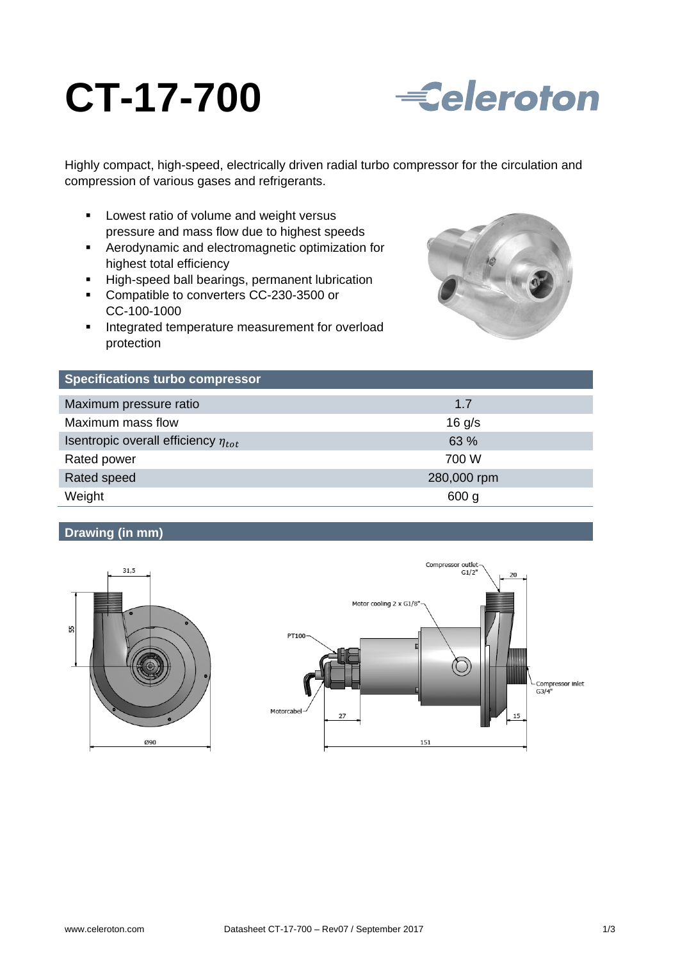# **CT-17-700**



Highly compact, high-speed, electrically driven radial turbo compressor for the circulation and compression of various gases and refrigerants.

- **EXEC** Lowest ratio of volume and weight versus pressure and mass flow due to highest speeds
- Aerodynamic and electromagnetic optimization for highest total efficiency
- **High-speed ball bearings, permanent lubrication**
- Compatible to converters CC-230-3500 or CC-100-1000
- **Integrated temperature measurement for overload** protection



| <b>Specifications turbo compressor</b>     |                  |
|--------------------------------------------|------------------|
| Maximum pressure ratio                     | 1.7              |
| Maximum mass flow                          | $16$ g/s         |
| Isentropic overall efficiency $\eta_{tot}$ | 63 %             |
| Rated power                                | 700 W            |
| Rated speed                                | 280,000 rpm      |
| Weight                                     | 600 <sub>g</sub> |

## **Drawing (in mm)**



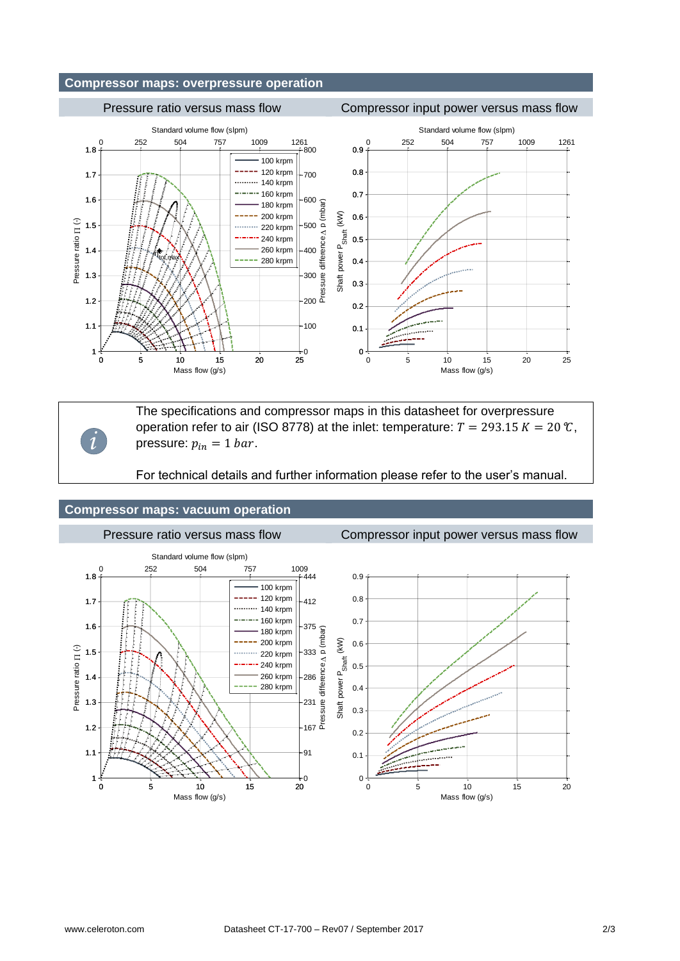## **Compressor maps: overpressure operation**

### Pressure ratio versus mass flow Compressor input power versus mass flow Standard volume flow (slpm) Standard volume flow (slpm) 0 252 504 757 1009 1261 0 252 504 757 1009 1261 1.8  $-800$ 0.9 100 krpm 120 krpm 0.8 1.7 700 140 krpm 160 krpm 0.7 1.6 600 180 krpm Pressure difference  $\Delta$  p (mbar)  $(kW)$ 200 krpm Shaft power P<sub>Shaft</sub> (kW) 0.6 Pressure ratio [1 (-) Pressure ratio  $\Pi$  (-) 1.5 220 krpm 500 P<sub>Shaft</sub> 240 krpm 0.5 1.4 260 krpm 400 Shaft power  $\eta_{\text{tot,max}}$ 280 krpm 0.4 1.3 300 0.3 1.2 200 0.2 1.1  $-100$ 0.1 1  $\overline{0}$ 0 0 5 10 15 20 25 0 5 10 15 20 25 Mass flow (g/s) Mass flow (g/s)

*i*

The specifications and compressor maps in this datasheet for overpressure operation refer to air (ISO 8778) at the inlet: temperature:  $T = 293.15 K = 20 \text{ }^{\circ}\text{C}$ , pressure:  $p_{in} = 1$  bar.

For technical details and further information please refer to the user's manual.

## **Compressor maps: vacuum operation**

Pressure ratio versus mass flow Compressor input power versus mass flow